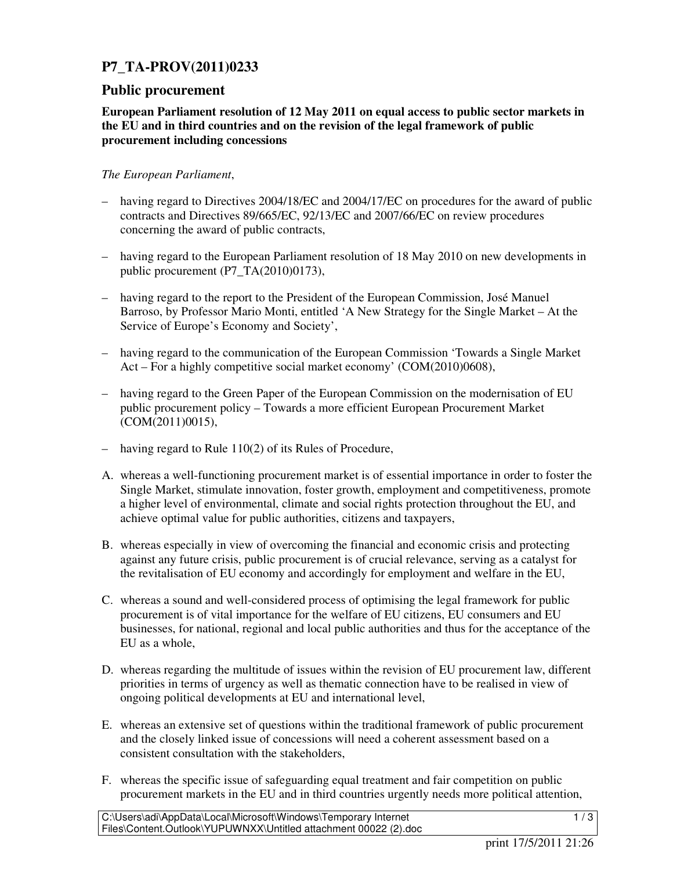## **P7\_TA-PROV(2011)0233**

## **Public procurement**

**European Parliament resolution of 12 May 2011 on equal access to public sector markets in the EU and in third countries and on the revision of the legal framework of public procurement including concessions** 

## *The European Parliament*,

- having regard to Directives 2004/18/EC and 2004/17/EC on procedures for the award of public contracts and Directives 89/665/EC, 92/13/EC and 2007/66/EC on review procedures concerning the award of public contracts,
- having regard to the European Parliament resolution of 18 May 2010 on new developments in public procurement (P7\_TA(2010)0173),
- having regard to the report to the President of the European Commission, José Manuel Barroso, by Professor Mario Monti, entitled 'A New Strategy for the Single Market – At the Service of Europe's Economy and Society',
- having regard to the communication of the European Commission 'Towards a Single Market Act – For a highly competitive social market economy' (COM(2010)0608),
- having regard to the Green Paper of the European Commission on the modernisation of EU public procurement policy – Towards a more efficient European Procurement Market (COM(2011)0015),
- having regard to Rule 110(2) of its Rules of Procedure,
- A. whereas a well-functioning procurement market is of essential importance in order to foster the Single Market, stimulate innovation, foster growth, employment and competitiveness, promote a higher level of environmental, climate and social rights protection throughout the EU, and achieve optimal value for public authorities, citizens and taxpayers,
- B. whereas especially in view of overcoming the financial and economic crisis and protecting against any future crisis, public procurement is of crucial relevance, serving as a catalyst for the revitalisation of EU economy and accordingly for employment and welfare in the EU,
- C. whereas a sound and well-considered process of optimising the legal framework for public procurement is of vital importance for the welfare of EU citizens, EU consumers and EU businesses, for national, regional and local public authorities and thus for the acceptance of the EU as a whole,
- D. whereas regarding the multitude of issues within the revision of EU procurement law, different priorities in terms of urgency as well as thematic connection have to be realised in view of ongoing political developments at EU and international level,
- E. whereas an extensive set of questions within the traditional framework of public procurement and the closely linked issue of concessions will need a coherent assessment based on a consistent consultation with the stakeholders,
- F. whereas the specific issue of safeguarding equal treatment and fair competition on public procurement markets in the EU and in third countries urgently needs more political attention,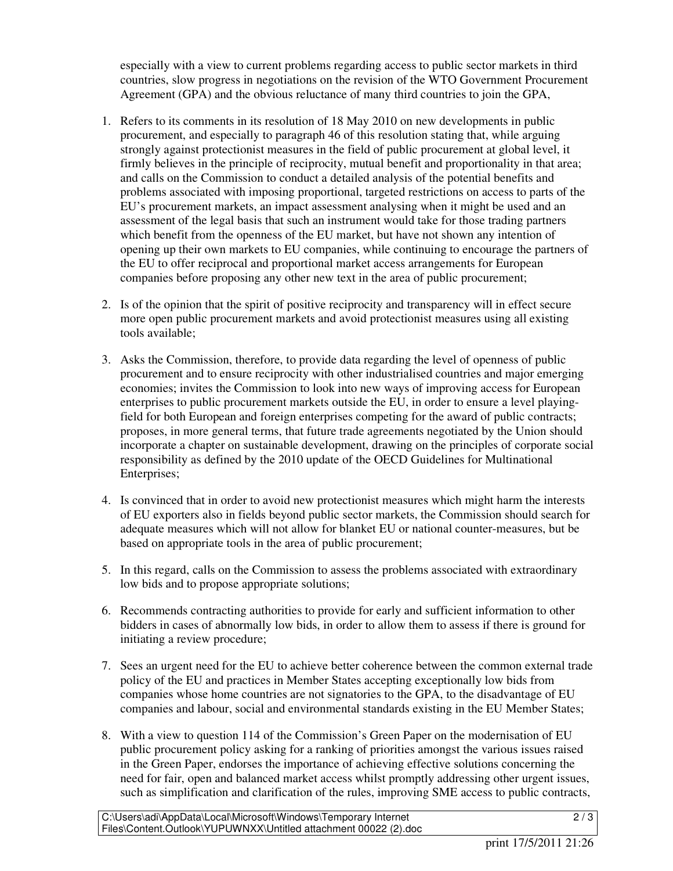especially with a view to current problems regarding access to public sector markets in third countries, slow progress in negotiations on the revision of the WTO Government Procurement Agreement (GPA) and the obvious reluctance of many third countries to join the GPA,

- 1. Refers to its comments in its resolution of 18 May 2010 on new developments in public procurement, and especially to paragraph 46 of this resolution stating that, while arguing strongly against protectionist measures in the field of public procurement at global level, it firmly believes in the principle of reciprocity, mutual benefit and proportionality in that area; and calls on the Commission to conduct a detailed analysis of the potential benefits and problems associated with imposing proportional, targeted restrictions on access to parts of the EU's procurement markets, an impact assessment analysing when it might be used and an assessment of the legal basis that such an instrument would take for those trading partners which benefit from the openness of the EU market, but have not shown any intention of opening up their own markets to EU companies, while continuing to encourage the partners of the EU to offer reciprocal and proportional market access arrangements for European companies before proposing any other new text in the area of public procurement;
- 2. Is of the opinion that the spirit of positive reciprocity and transparency will in effect secure more open public procurement markets and avoid protectionist measures using all existing tools available;
- 3. Asks the Commission, therefore, to provide data regarding the level of openness of public procurement and to ensure reciprocity with other industrialised countries and major emerging economies; invites the Commission to look into new ways of improving access for European enterprises to public procurement markets outside the EU, in order to ensure a level playingfield for both European and foreign enterprises competing for the award of public contracts; proposes, in more general terms, that future trade agreements negotiated by the Union should incorporate a chapter on sustainable development, drawing on the principles of corporate social responsibility as defined by the 2010 update of the OECD Guidelines for Multinational Enterprises;
- 4. Is convinced that in order to avoid new protectionist measures which might harm the interests of EU exporters also in fields beyond public sector markets, the Commission should search for adequate measures which will not allow for blanket EU or national counter-measures, but be based on appropriate tools in the area of public procurement;
- 5. In this regard, calls on the Commission to assess the problems associated with extraordinary low bids and to propose appropriate solutions;
- 6. Recommends contracting authorities to provide for early and sufficient information to other bidders in cases of abnormally low bids, in order to allow them to assess if there is ground for initiating a review procedure;
- 7. Sees an urgent need for the EU to achieve better coherence between the common external trade policy of the EU and practices in Member States accepting exceptionally low bids from companies whose home countries are not signatories to the GPA, to the disadvantage of EU companies and labour, social and environmental standards existing in the EU Member States;
- 8. With a view to question 114 of the Commission's Green Paper on the modernisation of EU public procurement policy asking for a ranking of priorities amongst the various issues raised in the Green Paper, endorses the importance of achieving effective solutions concerning the need for fair, open and balanced market access whilst promptly addressing other urgent issues, such as simplification and clarification of the rules, improving SME access to public contracts,

 $\sqrt{2/3}$